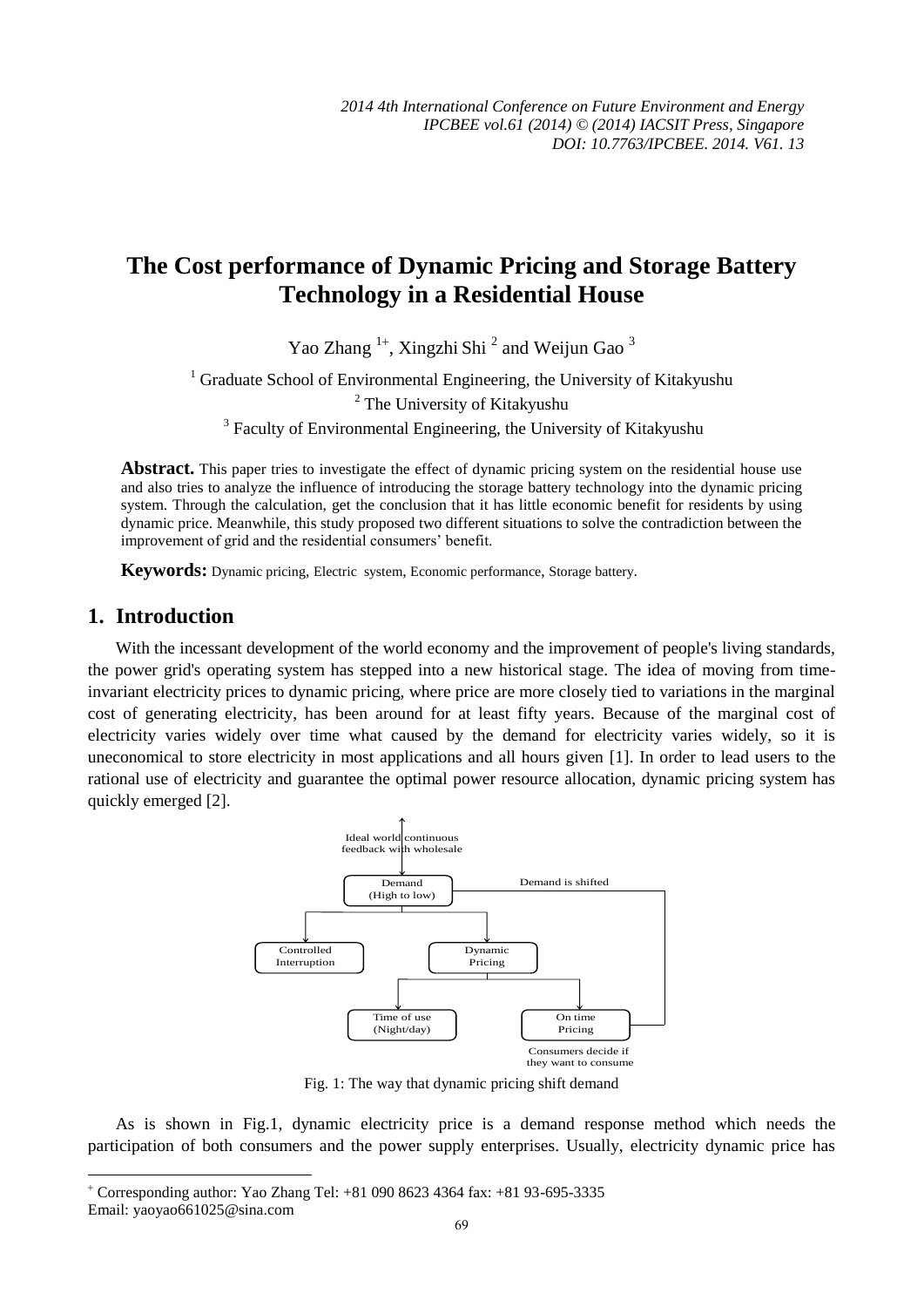# **The Cost performance of Dynamic Pricing and Storage Battery Technology in a Residential House**

Yao Zhang<sup>1+</sup>, Xingzhi Shi<sup>2</sup> and Weijun Gao<sup>3</sup>

<sup>1</sup> Graduate School of Environmental Engineering, the University of Kitakyushu <sup>2</sup> The University of Kitakyushu <sup>3</sup> Faculty of Environmental Engineering, the University of Kitakyushu

**Abstract.** This paper tries to investigate the effect of dynamic pricing system on the residential house use and also tries to analyze the influence of introducing the storage battery technology into the dynamic pricing system. Through the calculation, get the conclusion that it has little economic benefit for residents by using dynamic price. Meanwhile, this study proposed two different situations to solve the contradiction between the improvement of grid and the residential consumers' benefit.

**Keywords:** Dynamic pricing, Electric system, Economic performance, Storage battery.

# **1. Introduction**

-

With the incessant development of the world economy and the improvement of people's living standards, the power grid's operating system has stepped into a new historical stage. The idea of moving from timeinvariant electricity prices to dynamic pricing, where price are more closely tied to variations in the marginal cost of generating electricity, has been around for at least fifty years. Because of the marginal cost of electricity varies widely over time what caused by the demand for electricity varies widely, so it is uneconomical to store electricity in most applications and all hours given [1]. In order to lead users to the rational use of electricity and guarantee the optimal power resource allocation, dynamic pricing system has quickly emerged [2].



Fig. 1: The way that dynamic pricing shift demand

As is shown in Fig.1, dynamic electricity price is a demand response method which needs the participation of both consumers and the power supply enterprises. Usually, electricity dynamic price has

 Corresponding author: Yao Zhang Tel: +81 090 8623 4364 fax: +81 93-695-3335 Email: yaoyao661025@sina.com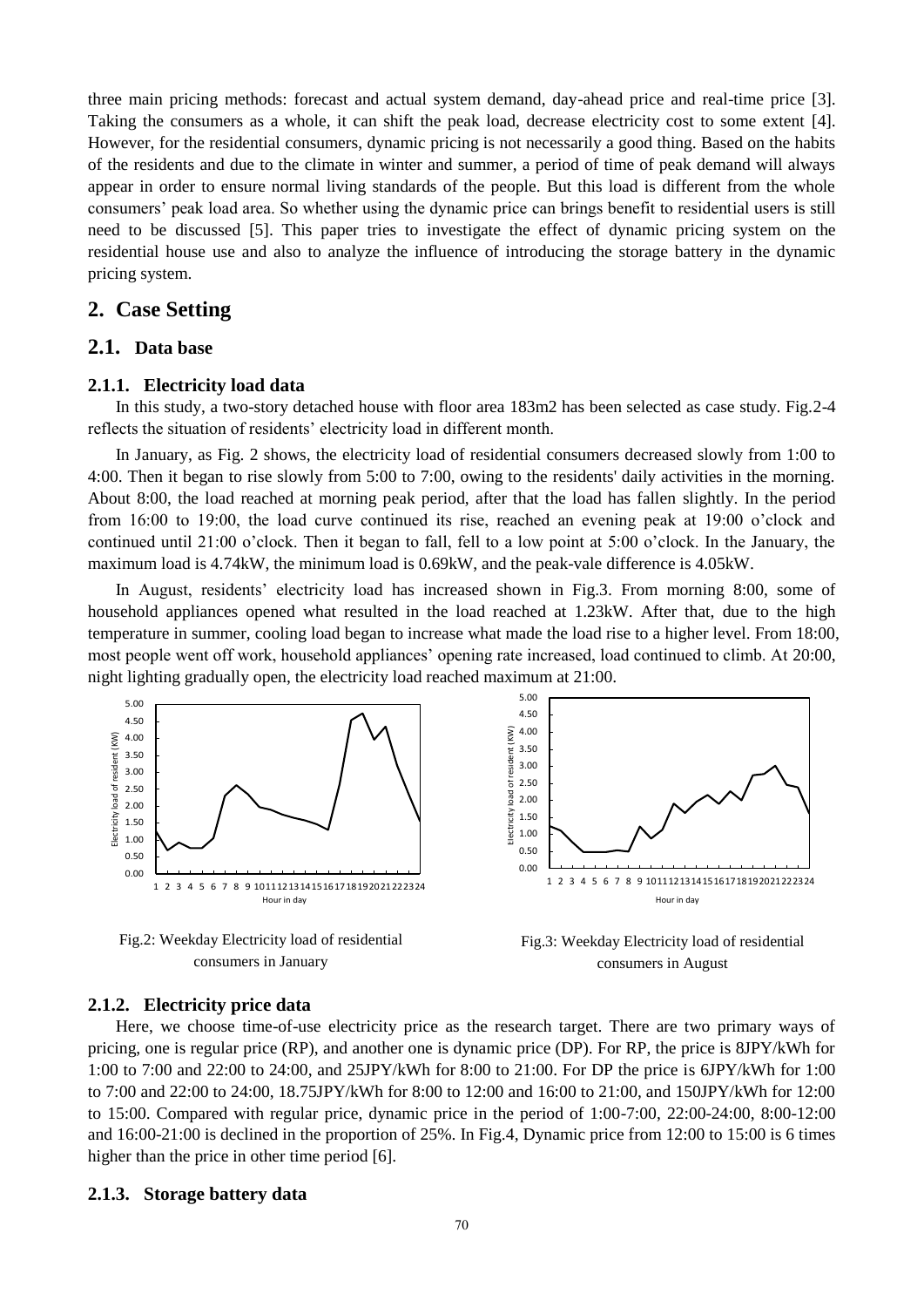three main pricing methods: forecast and actual system demand, day-ahead price and real-time price [3]. Taking the consumers as a whole, it can shift the peak load, decrease electricity cost to some extent [4]. However, for the residential consumers, dynamic pricing is not necessarily a good thing. Based on the habits of the residents and due to the climate in winter and summer, a period of time of peak demand will always appear in order to ensure normal living standards of the people. But this load is different from the whole consumers' peak load area. So whether using the dynamic price can brings benefit to residential users is still need to be discussed [5]. This paper tries to investigate the effect of dynamic pricing system on the residential house use and also to analyze the influence of introducing the storage battery in the dynamic pricing system.

## **2. Case Setting**

# **2.1. Data base**

## **2.1.1. Electricity load data**

In this study, a two-story detached house with floor area 183m2 has been selected as case study. Fig.2-4 reflects the situation of residents' electricity load in different month.

In January, as Fig. 2 shows, the electricity load of residential consumers decreased slowly from 1:00 to 4:00. Then it began to rise slowly from 5:00 to 7:00, owing to the residents' daily activities in the morning. About 8:00, the load reached at morning peak period, after that the load has fallen slightly. In the period from 16:00 to 19:00, the load curve continued its rise, reached an evening peak at 19:00 o'clock and continued until 21:00 o'clock. Then it began to fall, fell to a low point at 5:00 o'clock. In the January, the maximum load is 4.74kW, the minimum load is 0.69kW, and the peak-vale difference is 4.05kW.

In August, residents' electricity load has increased shown in Fig.3. From morning 8:00, some of household appliances opened what resulted in the load reached at 1.23kW. After that, due to the high temperature in summer, cooling load began to increase what made the load rise to a higher level. From 18:00, most people went off work, household appliances' opening rate increased, load continued to climb. At 20:00, night lighting gradually open, the electricity load reached maximum at 21:00.



Fig.2: Weekday Electricity load of residential consumers in January

Fig.3: Weekday Electricity load of residential consumers in August

#### **2.1.2. Electricity price data**

Here, we choose time-of-use electricity price as the research target. There are two primary ways of pricing, one is regular price (RP), and another one is dynamic price (DP). For RP, the price is 8JPY/kWh for 1:00 to 7:00 and 22:00 to 24:00, and 25JPY/kWh for 8:00 to 21:00. For DP the price is 6JPY/kWh for 1:00 to 7:00 and 22:00 to 24:00, 18.75JPY/kWh for 8:00 to 12:00 and 16:00 to 21:00, and 150JPY/kWh for 12:00 to 15:00. Compared with regular price, dynamic price in the period of 1:00-7:00, 22:00-24:00, 8:00-12:00 and 16:00-21:00 is declined in the proportion of 25%. In Fig.4, Dynamic price from 12:00 to 15:00 is 6 times higher than the price in other time period [6].

### **2.1.3. Storage battery data**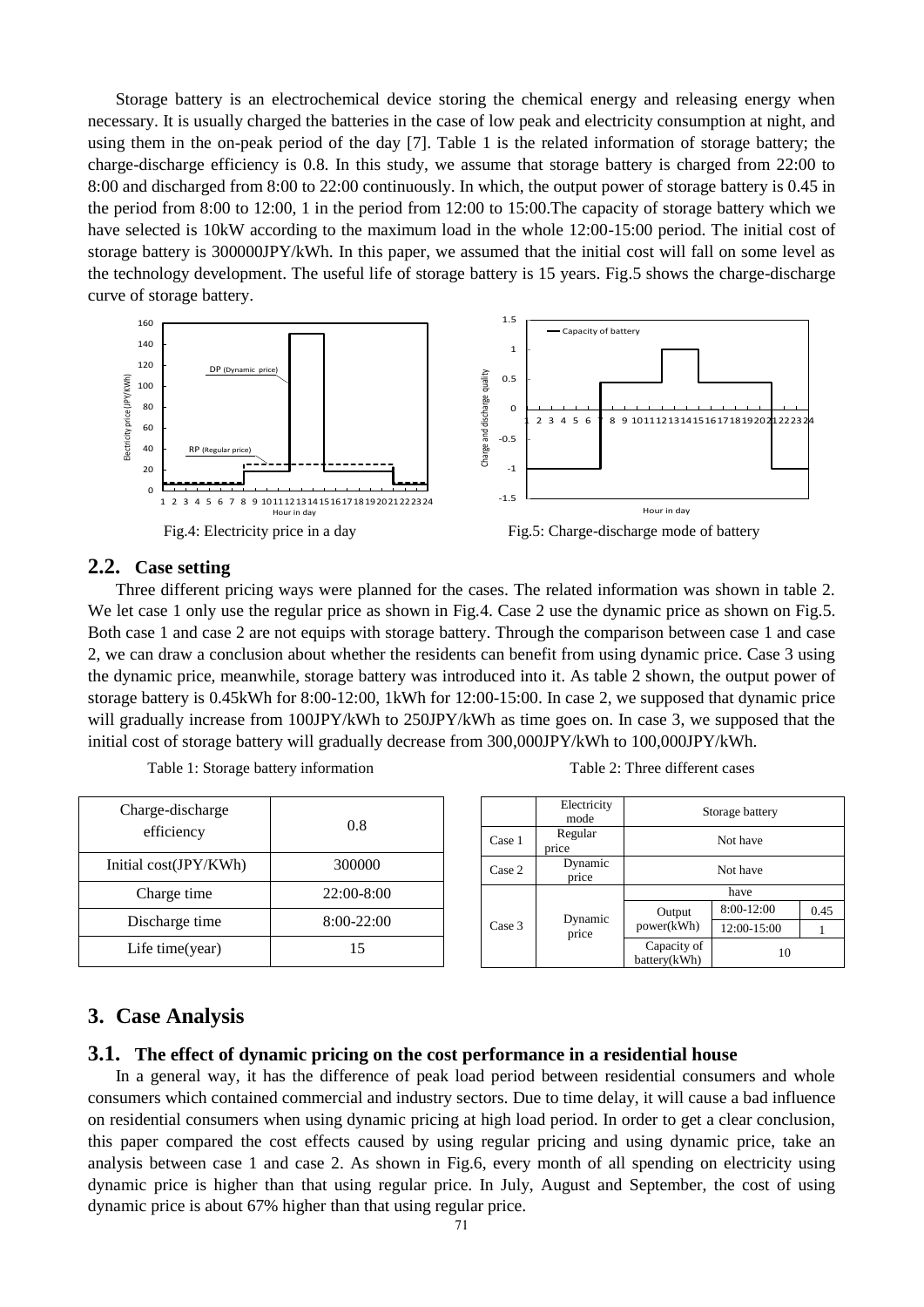Storage battery is an electrochemical device storing the chemical energy and releasing energy when necessary. It is usually charged the batteries in the case of low peak and electricity consumption at night, and using them in the on-peak period of the day [7]. Table 1 is the related information of storage battery; the charge-discharge efficiency is 0.8. In this study, we assume that storage battery is charged from 22:00 to 8:00 and discharged from 8:00 to 22:00 continuously. In which, the output power of storage battery is 0.45 in the period from 8:00 to 12:00, 1 in the period from 12:00 to 15:00.The capacity of storage battery which we have selected is 10kW according to the maximum load in the whole 12:00-15:00 period. The initial cost of storage battery is 300000JPY/kWh. In this paper, we assumed that the initial cost will fall on some level as the technology development. The useful life of storage battery is 15 years. Fig.5 shows the charge-discharge curve of storage battery.



### **2.2. Case setting**

Three different pricing ways were planned for the cases. The related information was shown in table 2. We let case 1 only use the regular price as shown in Fig.4. Case 2 use the dynamic price as shown on Fig.5. Both case 1 and case 2 are not equips with storage battery. Through the comparison between case 1 and case 2, we can draw a conclusion about whether the residents can benefit from using dynamic price. Case 3 using the dynamic price, meanwhile, storage battery was introduced into it. As table 2 shown, the output power of storage battery is 0.45kWh for 8:00-12:00, 1kWh for 12:00-15:00. In case 2, we supposed that dynamic price will gradually increase from 100JPY/kWh to 250JPY/kWh as time goes on. In case 3, we supposed that the initial cost of storage battery will gradually decrease from 300,000JPY/kWh to 100,000JPY/kWh.

| Charge-discharge<br>efficiency | 0.8        |
|--------------------------------|------------|
| Initial cost(JPY/KWh)          | 300000     |
| Charge time                    | 22:00-8:00 |
| Discharge time                 | 8:00-22:00 |
| Life time(year)                | 15         |

| Table 1: Storage battery information |  |  |
|--------------------------------------|--|--|
|--------------------------------------|--|--|

|                            | Electricity<br>mode | Storage battery             |             |      |
|----------------------------|---------------------|-----------------------------|-------------|------|
| Case 1                     | Regular<br>price    | Not have                    |             |      |
| Case 2                     | Dynamic<br>price    | Not have                    |             |      |
| Dynamic<br>Case 3<br>price |                     | have                        |             |      |
|                            |                     | Output<br>power(kWh)        | 8:00-12:00  | 0.45 |
|                            |                     |                             | 12:00-15:00 |      |
|                            |                     | Capacity of<br>battery(kWh) | 10          |      |

Table 2: Three different cases

# **3. Case Analysis**

### **3.1. The effect of dynamic pricing on the cost performance in a residential house**

In a general way, it has the difference of peak load period between residential consumers and whole consumers which contained commercial and industry sectors. Due to time delay, it will cause a bad influence on residential consumers when using dynamic pricing at high load period. In order to get a clear conclusion, this paper compared the cost effects caused by using regular pricing and using dynamic price, take an analysis between case 1 and case 2. As shown in Fig.6, every month of all spending on electricity using dynamic price is higher than that using regular price. In July, August and September, the cost of using dynamic price is about 67% higher than that using regular price.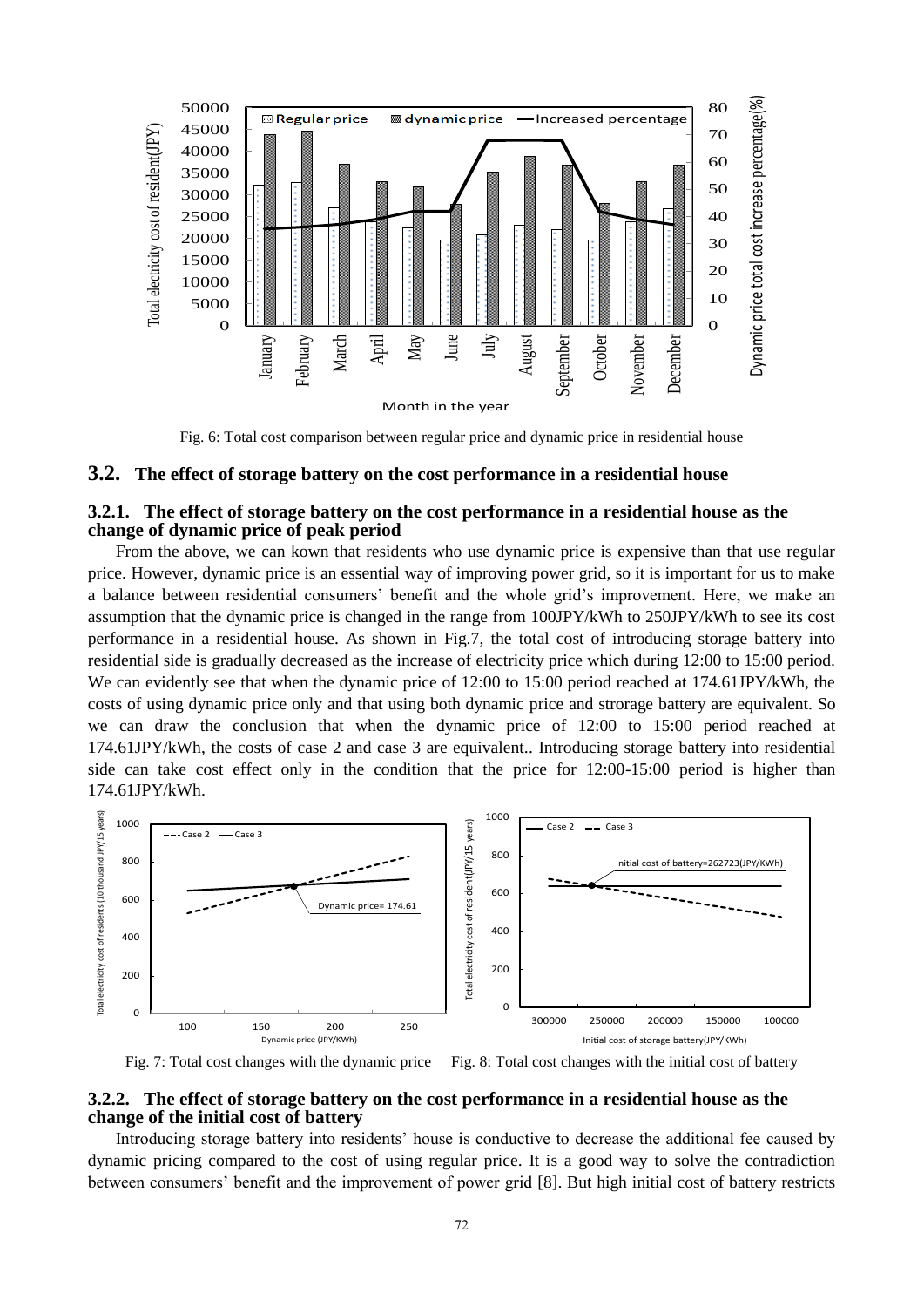

Fig. 6: Total cost comparison between regular price and dynamic price in residential house

### **3.2. The effect of storage battery on the cost performance in a residential house**

## **3.2.1. The effect of storage battery on the cost performance in a residential house as the change of dynamic price of peak period**

From the above, we can kown that residents who use dynamic price is expensive than that use regular price. However, dynamic price is an essential way of improving power grid, so it is important for us to make a balance between residential consumers' benefit and the whole grid's improvement. Here, we make an assumption that the dynamic price is changed in the range from 100JPY/kWh to 250JPY/kWh to see its cost performance in a residential house. As shown in Fig.7, the total cost of introducing storage battery into residential side is gradually decreased as the increase of electricity price which during 12:00 to 15:00 period. We can evidently see that when the dynamic price of 12:00 to 15:00 period reached at 174.61JPY/kWh, the costs of using dynamic price only and that using both dynamic price and strorage battery are equivalent. So we can draw the conclusion that when the dynamic price of 12:00 to 15:00 period reached at 174.61JPY/kWh, the costs of case 2 and case 3 are equivalent.. Introducing storage battery into residential side can take cost effect only in the condition that the price for 12:00-15:00 period is higher than 174.61JPY/kWh.



Fig. 7: Total cost changes with the dynamic price Fig. 8: Total cost changes with the initial cost of battery

### **3.2.2. The effect of storage battery on the cost performance in a residential house as the change of the initial cost of battery**

Introducing storage battery into residents' house is conductive to decrease the additional fee caused by dynamic pricing compared to the cost of using regular price. It is a good way to solve the contradiction between consumers' benefit and the improvement of power grid [8]. But high initial cost of battery restricts